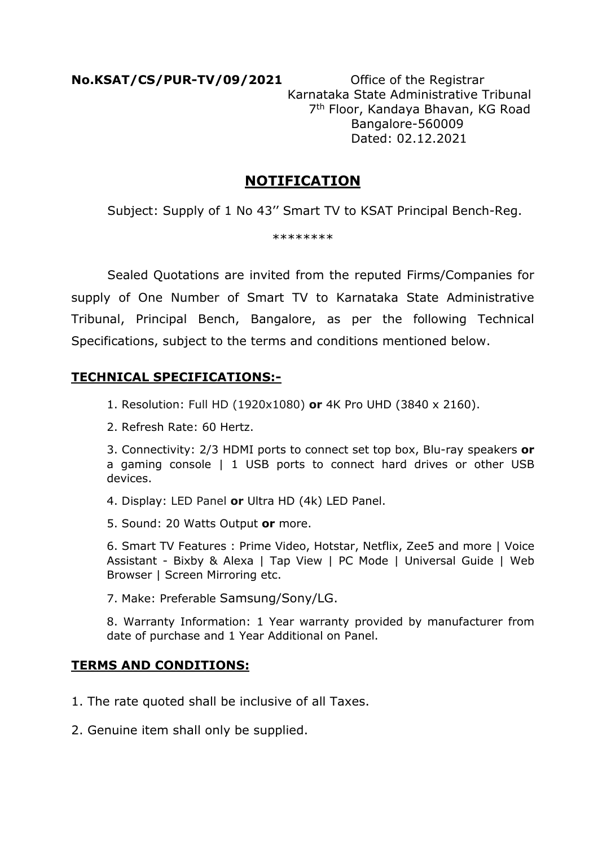**No.KSAT/CS/PUR-TV/09/2021** Office of the Registrar Karnataka State Administrative Tribunal 7th Floor, Kandaya Bhavan, KG Road Bangalore-560009 Dated: 02.12.2021

## **NOTIFICATION**

Subject: Supply of 1 No 43'' Smart TV to KSAT Principal Bench-Reg.

\*\*\*\*\*\*\*\*

 Sealed Quotations are invited from the reputed Firms/Companies for supply of One Number of Smart TV to Karnataka State Administrative Tribunal, Principal Bench, Bangalore, as per the following Technical Specifications, subject to the terms and conditions mentioned below.

## **TECHNICAL SPECIFICATIONS:-**

1. Resolution: Full HD (1920x1080) **or** 4K Pro UHD (3840 x 2160).

2. Refresh Rate: 60 Hertz.

3. Connectivity: 2/3 HDMI ports to connect set top box, Blu-ray speakers **or** a gaming console | 1 USB ports to connect hard drives or other USB devices.

- 4. Display: LED Panel **or** Ultra HD (4k) LED Panel.
- 5. Sound: 20 Watts Output **or** more.

6. Smart TV Features : Prime Video, Hotstar, Netflix, Zee5 and more | Voice Assistant - Bixby & Alexa | Tap View | PC Mode | Universal Guide | Web Browser | Screen Mirroring etc.

7. Make: Preferable Samsung/Sony/LG.

8. Warranty Information: 1 Year warranty provided by manufacturer from date of purchase and 1 Year Additional on Panel.

## **TERMS AND CONDITIONS:**

- 1. The rate quoted shall be inclusive of all Taxes.
- 2. Genuine item shall only be supplied.